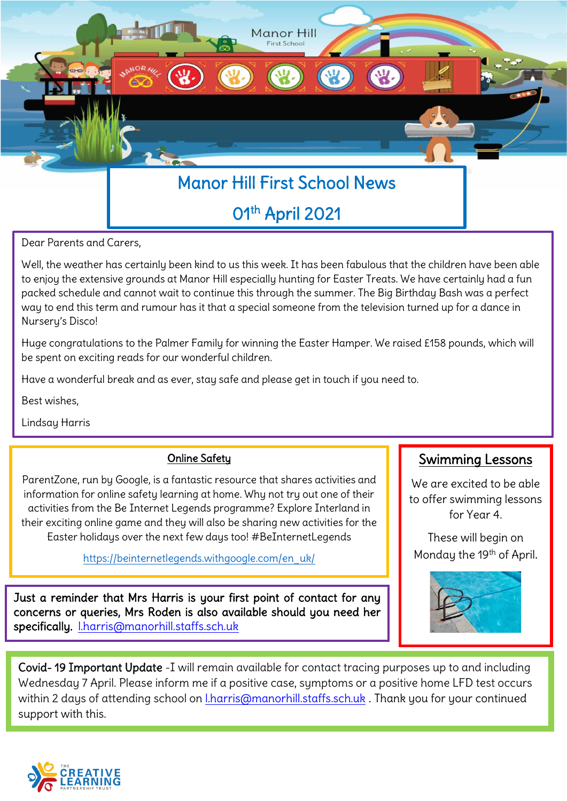

Dear Parents and Carers,

Well, the weather has certainly been kind to us this week. It has been fabulous that the children have been able to enjoy the extensive grounds at Manor Hill especially hunting for Easter Treats. We have certainly had a fun packed schedule and cannot wait to continue this through the summer. The Big Birthday Bash was a perfect way to end this term and rumour has it that a special someone from the television turned up for a dance in Nursery's Disco!

Huge congratulations to the Palmer Family for winning the Easter Hamper. We raised £158 pounds, which will be spent on exciting reads for our wonderful children.

Have a wonderful break and as ever, stay safe and please get in touch if you need to.

Best wishes,

Lindsay Harris

#### Online Safety

ParentZone, run by Google, is a fantastic resource that shares activities and information for online safety learning at home. Why not try out one of their activities from the Be Internet Legends programme? Explore Interland in their exciting online game and they will also be sharing new activities for the Easter holidays over the next few days too! #BeInternetLegends

[https://beinternetlegends.withgoogle.com/en\\_uk/](https://beinternetlegends.withgoogle.com/en_uk/)

Just a reminder that Mrs Harris is your first point of contact for any concerns or queries, Mrs Roden is also available should you need her specifically. [l.harris@manorhill.staffs.sch.uk](mailto:l.harris@manorhill.staffs.sch.uk)

### Swimming Lessons

We are excited to be able to offer swimming lessons for Year 4.

These will begin on Monday the 19<sup>th</sup> of April.



Covid- 19 Important Update -I will remain available for contact tracing purposes up to and including Wednesday 7 April. Please inform me if a positive case, symptoms or a positive home LFD test occurs within 2 days of attending school on [l.harris@manorhill.staffs.sch.uk](mailto:l.harris@manorhill.staffs.sch.uk) . Thank you for your continued support with this.